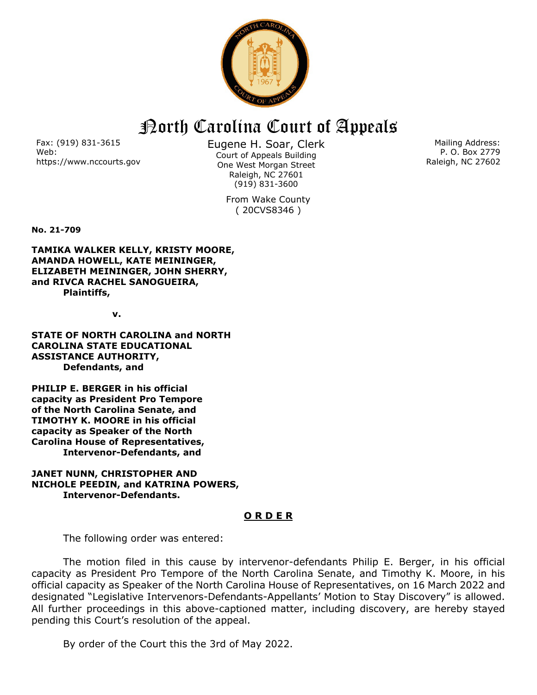

## North Carolina Court of Appeals

Fax: (919) 831-3615 Web: https://www.nccourts.gov Eugene H. Soar, Clerk Court of Appeals Building One West Morgan Street Raleigh, NC 27601 (919) 831-3600

> From Wake County ( 20CVS8346 )

Mailing Address: P. O. Box 2779 Raleigh, NC 27602

**No. 21-709**

**TAMIKA WALKER KELLY, KRISTY MOORE, AMANDA HOWELL, KATE MEININGER, ELIZABETH MEININGER, JOHN SHERRY, and RIVCA RACHEL SANOGUEIRA, Plaintiffs,**

*<u>v.</u>* **v.** 

**STATE OF NORTH CAROLINA and NORTH CAROLINA STATE EDUCATIONAL ASSISTANCE AUTHORITY, Defendants, and**

**PHILIP E. BERGER in his official capacity as President Pro Tempore of the North Carolina Senate, and TIMOTHY K. MOORE in his official capacity as Speaker of the North Carolina House of Representatives, Intervenor-Defendants, and**

## **JANET NUNN, CHRISTOPHER AND NICHOLE PEEDIN, and KATRINA POWERS, Intervenor-Defendants.**

## **O R D E R**

The following order was entered:

The motion filed in this cause by intervenor-defendants Philip E. Berger, in his official capacity as President Pro Tempore of the North Carolina Senate, and Timothy K. Moore, in his official capacity as Speaker of the North Carolina House of Representatives, on 16 March 2022 and designated "Legislative Intervenors-Defendants-Appellants' Motion to Stay Discovery" is allowed. All further proceedings in this above-captioned matter, including discovery, are hereby stayed pending this Court's resolution of the appeal.

By order of the Court this the 3rd of May 2022.